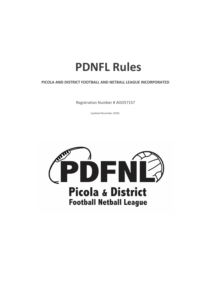# **PDNFL Rules**

# **PICOLA AND DISTRICT FOOTBALL AND NETBALL LEAGUE INCORPORATED**

Registration Number # AOO57157

(updated November 2018)

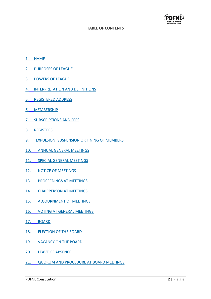

#### **TABLE OF CONTENTS**

- 1. [NAME](file:///C:/Users/SHANE/Documents/CONSTITUTION%20UPDATED%203-2-2014%20locked.docx)
- 2. [PURPOSES OF LEAGUE](file:///C:/Users/SHANE/Documents/CONSTITUTION%20UPDATED%203-2-2014%20locked.docx)
- 3. [POWERS OF LEAGUE](file:///C:/Users/SHANE/Documents/CONSTITUTION%20UPDATED%203-2-2014%20locked.docx)
- 4. [INTERPRETATION AND DEFINITIONS](file:///C:/Users/SHANE/Documents/CONSTITUTION%20UPDATED%203-2-2014%20locked.docx)
- 5. [REGISTERED ADDRESS](file:///C:/Users/SHANE/Documents/CONSTITUTION%20UPDATED%203-2-2014%20locked.docx)
- 6. [MEMBERSHIP](file:///C:/Users/SHANE/Documents/CONSTITUTION%20UPDATED%203-2-2014%20locked.docx)
- 7. [SUBSCRIPTIONS AND FEES](file:///C:/Users/SHANE/Documents/CONSTITUTION%20UPDATED%203-2-2014%20locked.docx)
- 8. [REGISTERS](file:///C:/Users/SHANE/Documents/CONSTITUTION%20UPDATED%203-2-2014%20locked.docx)
- 9. [EXPULSION, SUSPENSION OR FINING OF MEMBERS](file:///C:/Users/SHANE/Documents/CONSTITUTION%20UPDATED%203-2-2014%20locked.docx)
- 10. [ANNUAL GENERAL MEETINGS](file:///C:/Users/SHANE/Documents/CONSTITUTION%20UPDATED%203-2-2014%20locked.docx)
- 11. [SPECIAL GENERAL MEETINGS](file:///C:/Users/SHANE/Documents/CONSTITUTION%20UPDATED%203-2-2014%20locked.docx)
- 12. [NOTICE OF MEETINGS](file:///C:/Users/SHANE/Documents/CONSTITUTION%20UPDATED%203-2-2014%20locked.docx)
- 13. [PROCEEDINGS AT MEETINGS](file:///C:/Users/SHANE/Documents/CONSTITUTION%20UPDATED%203-2-2014%20locked.docx)
- 14. [CHAIRPERSON AT MEETINGS](file:///C:/Users/SHANE/Documents/CONSTITUTION%20UPDATED%203-2-2014%20locked.docx)
- 15. [ADJOURNMENT OF MEETINGS](file:///C:/Users/SHANE/Documents/CONSTITUTION%20UPDATED%203-2-2014%20locked.docx)
- 16. [VOTING AT GENERAL MEETINGS](file:///C:/Users/SHANE/Documents/CONSTITUTION%20UPDATED%203-2-2014%20locked.docx)
- 17. [BOARD](file:///C:/Users/SHANE/Documents/CONSTITUTION%20UPDATED%203-2-2014%20locked.docx)
- 18. [ELECTION OF THE BOARD](file:///C:/Users/SHANE/Documents/CONSTITUTION%20UPDATED%203-2-2014%20locked.docx)
- 19. [VACANCY ON THE BOARD](file:///C:/Users/SHANE/Documents/CONSTITUTION%20UPDATED%203-2-2014%20locked.docx)
- 20. [LEAVE OF ABSENCE](file:///C:/Users/SHANE/Documents/CONSTITUTION%20UPDATED%203-2-2014%20locked.docx)
- 21. QUORUM [AND PROCEDURE AT BOARD MEETINGS](file:///C:/Users/SHANE/Documents/CONSTITUTION%20UPDATED%203-2-2014%20locked.docx)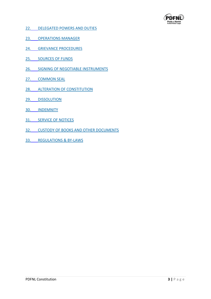

- 22. [DELEGATED POWERS AND DUTIES](file:///C:/Users/SHANE/Documents/CONSTITUTION%20UPDATED%203-2-2014%20locked.docx)
- 23. [OPERATIONS MANAGER](file:///C:/Users/SHANE/Documents/CONSTITUTION%20UPDATED%203-2-2014%20locked.docx)
- 24. [GRIEVANCE PROCEDURES](file:///C:/Users/SHANE/Documents/CONSTITUTION%20UPDATED%203-2-2014%20locked.docx)
- 25. [SOURCES OF FUNDS](file:///C:/Users/SHANE/Documents/CONSTITUTION%20UPDATED%203-2-2014%20locked.docx)
- 26. [SIGNING OF NEGOTIABLE INSTRUMENTS](file:///C:/Users/SHANE/Documents/CONSTITUTION%20UPDATED%203-2-2014%20locked.docx)
- 27. [COMMON SEAL](file:///C:/Users/SHANE/Documents/CONSTITUTION%20UPDATED%203-2-2014%20locked.docx)
- 28. [ALTERATION OF CONSTITUTION](file:///C:/Users/SHANE/Documents/CONSTITUTION%20UPDATED%203-2-2014%20locked.docx)
- 29. [DISSOLUTION](file:///C:/Users/SHANE/Documents/CONSTITUTION%20UPDATED%203-2-2014%20locked.docx)
- 30. [INDEMNITY](file:///C:/Users/SHANE/Documents/CONSTITUTION%20UPDATED%203-2-2014%20locked.docx)
- 31. [SERVICE OF NOTICES](file:///C:/Users/SHANE/Documents/CONSTITUTION%20UPDATED%203-2-2014%20locked.docx)
- 32. [CUSTODY OF BOOKS AND OTHER DOCUMENTS](file:///C:/Users/SHANE/Documents/CONSTITUTION%20UPDATED%203-2-2014%20locked.docx)
- 33. [REGULATIONS & BY-LAWS](file:///C:/Users/SHANE/Documents/CONSTITUTION%20UPDATED%203-2-2014%20locked.docx)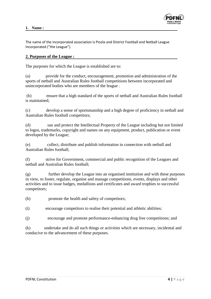

The name of the incorporated association is Picola and District Football and Netball League Incorporated ("the League").

#### **2. Purposes of the League :**

The purposes for which the League is established are to:

(a) provide for the conduct, encouragement, promotion and administration of the sports of netball and Australian Rules football competitions between incorporated and unincorporated bodies who are members of the league .

(b) ensure that a high standard of the sports of netball and Australian Rules football is maintained;

(c) develop a sense of sportsmanship and a high degree of proficiency in netball and Australian Rules football competitors;

(d) use and protect the Intellectual Property of the League including but not limited to logos, trademarks, copyright and names on any equipment, product, publication or event developed by the League;

(e) collect, distribute and publish information in connection with netball and Australian Rules football;

(f) strive for Government, commercial and public recognition of the Leagues and netball and Australian Rules football;

(g) further develop the League into an organised institution and with these purposes in view, to foster, regulate, organise and manage competitions, events, displays and other activities and to issue badges, medallions and certificates and award trophies to successful competitors;

(h) promote the health and safety of competitors;

- (i) encourage competitors to realise their potential and athletic abilities;
- (j) encourage and promote performance-enhancing drug free competitions; and

(k) undertake and do all such things or activities which are necessary, incidental and conducive to the advancement of these purposes.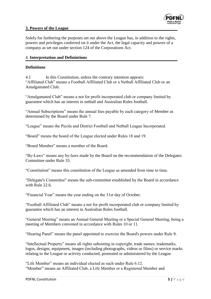

## **3. Powers of the League**

Solely for furthering the purposes set out above the League has, in addition to the rights, powers and privileges conferred on it under the Act, the legal capacity and powers of a company as set out under section 124 of the Corporations Act.

# 4. **Interpretation and Definintions**

## **Definitions**

4.1 In this Constitution, unless the contrary intention appears: "Affiliated Club" means a Football Affiliated Club or a Netball Affiliated Club or an Amalgamated Club.

"Amalgamated Club" means a not for profit incorporated club or company limited by guarantee which has an interest in netball and Australian Rules football.

"Annual Subscriptions" means the annual fees payable by each category of Member as determined by the Board under Rule 7.

"League" means the Picola and District Football and Netball League Incorporated.

"Board" means the board of the League elected under Rules 18 and 19.

"Board Member" means a member of the Board.

"By-Laws" means any by-laws made by the Board on the recommendation of the Delegates Committee under Rule 33.

"Constitution" means this constitution of the League as amended from time to time.

"Delegate's Committee" means the sub-committee established by the Board in accordance with Rule 22.6.

"Financial Year" means the year ending on the 31st day of October.

"Football Affiliated Club" means a not for profit incorporated club or company limited by guarantee which has an interest in Australian Rules football.

"General Meeting" means an Annual General Meeting or a Special General Meeting, being a meeting of Members convened in accordance with Rules 10 or 11.

"Hearing Panel" means the panel appointed to exercise the Board's powers under Rule 9.

"Intellectual Property" means all rights subsisting in copyright, trade names, trademarks, logos, designs, equipment, images (including photographs, videos or films) or service marks relating to the League or activity conducted, promoted or administered by the League.

"Life Member" means an individual elected as such under Rule 6.12. "Member" means an Affiliated Club, a Life Member or a Registered Member and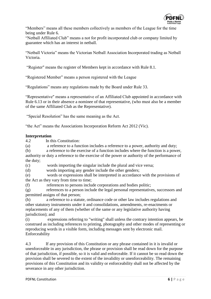

"Members" means all these members collectively as members of the League for the time being under Rule 6.

"Netball Affiliated Club" means a not for profit incorporated club or company limited by guarantee which has an interest in netball.

"Netball Victoria" means the Victorian Netball Association Incorporated trading as Netball Victoria.

"Register" means the register of Members kept in accordance with Rule 8.1.

"Registered Member" means a person registered with the League

"Regulations" means any regulations made by the Board under Rule 33.

"Representative" means a representative of an Affiliated Club appointed in accordance with Rule 6.13 or in their absence a nominee of that representative, (who must also be a member of the same Affiliated Club as the Representative).

"Special Resolution" has the same meaning as the Act.

"the Act" means the Associations Incorporation Reform Act 2012 (Vic).

## **Interpretation**

4.2 In this Constitution:

(a) a reference to a function includes a reference to a power, authority and duty;

(b) a reference to the exercise of a function includes where the function is a power, authority or duty a reference to the exercise of the power or authority of the performance of the duty;

(c) words importing the singular include the plural and vice versa;

(d) words importing any gender include the other genders;

(e) words or expressions shall be interpreted in accordance with the provisions of the Act as they vary from time to time;

(f) references to persons include corporations and bodies politic;

(g) references to a person include the legal personal representatives, successors and permitted assigns of that person;

(h) a reference to a statute, ordinance code or other law includes regulations and other statutory instruments under it and consolidations, amendments, re-enactments or replacements of any of them (whether of the same or any legislative authority having jurisdiction); and

(i) expressions referring to "writing" shall unless the contrary intention appears, be construed as including references to printing, photography and other modes of representing or reproducing words in a visible form, including messages sent by electronic mail. Enforceability

4.3 If any provision of this Constitution or any phrase contained in it is invalid or unenforceable in any jurisdiction, the phrase or provision shall be read down for the purpose of that jurisdiction, if possible, so it is valid and enforceable. If it cannot be so read down the provision shall be severed to the extent of the invalidity or unenforceability. The remaining provisions of this Constitution and its validity or enforceability shall not be affected by the severance in any other jurisdiction.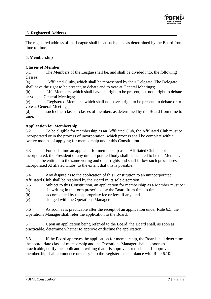

## **5. Registered Address**

The registered address of the League shall be at such place as determined by the Board from time to time.

## **6. Membership**

## **Classes of Member**

6.1 The Members of the League shall be, and shall be divided into, the following classes:

(a) Affiliated Clubs, which shall be represented by their Delegate. The Delegate shall have the right to be present, to debate and to vote at General Meetings;

(b) Life Members, which shall have the right to be present, but not a right to debate or vote, at General Meetings;

(c) Registered Members, which shall not have a right to be present, to debate or to vote at General Meetings;

(d) such other class or classes of members as determined by the Board from time to time.

## **Application for Membership**

6.2 To be eligible for membership as an Affiliated Club, the Affiliated Club must be incorporated or in the process of incorporation, which process shall be complete within twelve months of applying for membership under this Constitution.

6.3 For such time an applicant for membership as an Affiliated Club is not incorporated, the President of any unincorporated body shall be deemed to be the Member, and shall be entitled to the same voting and other rights and shall follow such procedures as incorporated Affiliated Clubs, to the extent that this is possible.

6.4 Any dispute as to the application of this Constitution to an unincorporated Affiliated Club shall be resolved by the Board in its sole discretion.

- 6.5 Subject to this Constitution, an application for membership as a Member must be:
- (a) in writing in the form prescribed by the Board from time to time;
- (b) accompanied by the appropriate fee or fees, if any; and
- (c) lodged with the Operations Manager.

6.6 As soon as is practicable after the receipt of an application under Rule 6.5, the Operations Manager shall refer the application to the Board.

6.7 Upon an application being referred to the Board, the Board shall, as soon as practicable, determine whether to approve or decline the application.

6.8 If the Board approves the application for membership, the Board shall determine the appropriate class of membership and the Operations Manager shall, as soon as practicable, notify the applicant in writing that it is approved or declined. If approved, membership shall commence on entry into the Register in accordance with Rule 6.10.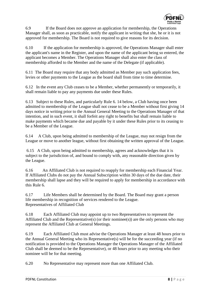

6.9 If the Board does not approve an application for membership, the Operations Manager shall, as soon as practicable, notify the applicant in writing that she, he or it is not approved for membership. The Board is not required to give reasons for its decision.

6.10 If the application for membership is approved, the Operations Manager shall enter the applicant's name in the Register, and upon the name of the applicant being so entered, the applicant becomes a Member. The Operations Manager shall also enter the class of membership afforded to the Member and the name of the Delegate (if applicable).

6.11 The Board may require that any body admitted as Member pay such application fees, levies or other payments to the League as the board shall from time to time determine.

6.12 In the event any Club ceases to be a Member, whether permanently or temporarily, it shall remain liable to pay any payments due under these Rules.

6.13 Subject to these Rules, and particularly Rule 6. 14 below, a Club having once been admitted to membership of the League shall not cease to be a Member without first giving 14 days notice in writing prior to the Annual General Meeting to the Operations Manager of that intention, and in such event, it shall forfeit any right to benefits but shall remain liable to make payments which became due and payable by it under these Rules prior to its ceasing to be a Member of the League.

6.14 A Club, upon being admitted to membership of the League, may not resign from the League or move to another league, without first obtaining the written approval of the League.

6.15 A Club, upon being admitted to membership, agrees and acknowledges that it is subject to the jurisdiction of, and bound to comply with, any reasonable direction given by the League.

6.16 An Affiliated Club is not required to reapply for membership each Financial Year. If Affiliated Clubs do not pay the Annual Subscription within 30 days of the due date, their membership shall lapse and they will be required to apply for membership in accordance with this Rule 6.

6.17 Life Members shall be determined by the Board. The Board may grant a person life membership in recognition of services rendered to the League. Representatives of Affiliated Club

6.18 Each Affiliated Club may appoint up to two Representatives to represent the Affiliated Club and the Representative(s) (or their nomines(s)) are the only persons who may represent the Affiliated Club at General Meetings.

6.19 Each Affiliated Club must advise the Operations Manager at least 48 hours prior to the Annual General Meeting who its Representative(s) will be for the succeeding year (if no notification is provided to the Operations Manager the Operations Manager of the Affiliated Club shall be deemed to be the Representative), or 48 hours prior to any meeting who their nominee will be for that meeting.

6.20 No Representative may represent more than one Affiliated Club.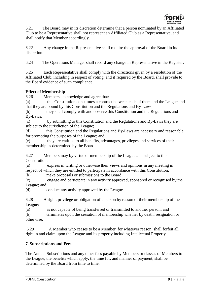

6.21 The Board may in its discretion determine that a person nominated by an Affiliated Club to be a Representative shall not represent an Affiliated Club as a Representative, and shall notify that Member accordingly.

6.22 Any change in the Representative shall require the approval of the Board in its discretion.

6.24 The Operations Manager shall record any change in Representative in the Register.

6.25 Each Representative shall comply with the directions given by a resolution of the Affiliated Club, including in respect of voting, and if required by the Board, shall provide to the Board evidence of such compliance.

# **Effect of Membership**

6.26 Members acknowledge and agree that:

(a) this Constitution constitutes a contract between each of them and the League and that they are bound by this Constitution and the Regulations and By-Laws;

(b) they shall comply with and observe this Constitution and the Regulations and By-Laws;

(c) by submitting to this Constitution and the Regulations and By-Laws they are subject to the jurisdiction of the League;

(d) this Constitution and the Regulations and By-Laws are necessary and reasonable for promoting the purposes of the League; and

(e) they are entitled to all benefits, advantages, privileges and services of their membership as determined by the Board.

6.27 Members may by virtue of membership of the League and subject to this Constitution:

(a) express in writing or otherwise their views and opinions in any meeting in respect of which they are entitled to participate in accordance with this Constitution;

(b) make proposals or submissions to the Board;

(c) engage and participate in any activity approved, sponsored or recognised by the League; and

(d) conduct any activity approved by the League.

6.28 A right, privilege or obligation of a person by reason of their membership of the League:

(a) is not capable of being transferred or transmitted to another person; and (b) terminates upon the cessation of membership whether by death, resignation or otherwise.

6.29 A Member who ceases to be a Member, for whatever reason, shall forfeit all right in and claim upon the League and its property including Intellectual Property

# **7. Subscriptions and Fees**

The Annual Subscriptions and any other fees payable by Members or classes of Members to the League, the benefits which apply, the time for, and manner of payment, shall be determined by the Board from time to time.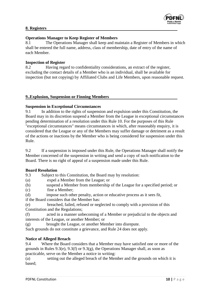

# **8. Registers**

#### **Operations Manager to Keep Register of Members**

8.1 The Operations Manager shall keep and maintain a Register of Members in which shall be entered the full name, address, class of membership, date of entry of the name of each Member.

#### **Inspection of Register**

8.2 Having regard to confidentiality considerations, an extract of the register, excluding the contact details of a Member who is an individual, shall be available for inspection (but not copying) by Affiliated Clubs and Life Members, upon reasonable request.

#### **9..Explusion, Suspension or Finning Members**

#### **Suspension in Exceptional Circumstances**

9.1 In addition to the rights of suspension and expulsion under this Constitution, the Board may in its discretion suspend a Member from the League in exceptional circumstances pending determination of a resolution under this Rule 10. For the purposes of this Rule "exceptional circumstances" means circumstances in which, after reasonably enquiry, it is considered that the League or any of the Members may suffer damage or detriment as a result of the actions or inactions by the Member who is being considered for suspension under this Rule.

9.2 If a suspension is imposed under this Rule, the Operations Manager shall notify the Member concerned of the suspension in writing and send a copy of such notification to the Board. There is no right of appeal of a suspension made under this Rule.

#### **Board Resolution**

9.3 Subject to this Constitution, the Board may by resolution:

(a) expel a Member from the League; or

(b) suspend a Member from membership of the League for a specified period; or

- (c) fine a Member;
- (d) impose such other penalty, action or educative process as it sees fit,

if the Board considers that the Member has:

(e) breached, failed, refused or neglected to comply with a provision of this Constitution and the Regulations;

(f) acted in a manner unbecoming of a Member or prejudicial to the objects and interests of the League, or another Member; or

(g) brought the League, or another Member into disrepute.

Such grounds do not constitute a grievance, and Rule 24 does not apply.

## **Notice of Alleged Breach**

9.4 Where the Board considers that a Member may have satisfied one or more of the grounds in Rules 9.3(e), 9.3(f) or 9.3(g), the Operations Manager shall, as soon as practicable, serve on the Member a notice in writing:

(a) setting out the alleged breach of the Member and the grounds on which it is based;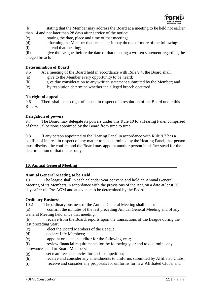

(b) stating that the Member may address the Board at a meeting to be held not earlier than 14 and not later than 28 days after service of the notice;

(c) stating the date, place and time of that meeting;

(d) informing the Member that he, she or it may do one or more of the following: -

(i) attend that meeting;

(ii) give the League, before the date of that meeting a written statement regarding the alleged breach.

## **Determination of Board**

9.5 At a meeting of the Board held in accordance with Rule 9.4, the Board shall:

- (a) give to the Member every opportunity to be heard;
- (b) give due consideration to any written statement submitted by the Member; and
- (c) by resolution determine whether the alleged breach occurred.

#### **No right of appeal**

9.6 There shall be no right of appeal in respect of a resolution of the Board under this Rule 9.

#### **Delegation of powers**

9.7 The Board may delegate its powers under this Rule 10 to a Hearing Panel comprised of three (3) persons appointed by the Board from time to time.

9.8 If any person appointed to the Hearing Panel in accordance with Rule 9.7 has a conflict of interest in respect of any matter to be determined by the Hearing Panel, that person must disclose the conflict and the Board may appoint another person in his/her stead for the determination of that matter only.

#### **10. Annual General Meeting**

## **Annual General Meeting to be Held**

10.1 The league shall in each calendar year convene and hold an Annual General Meeting of its Members in accordance with the provisions of the Act, on a date at least 30 days after the Pre AGM and at a venue to be determined by the Board.

#### **Ordinary Business**

10.2 The ordinary business of the Annual General Meeting shall be to:

(a) confirm the minutes of the last preceding Annual General Meeting and of any General Meeting held since that meeting;

(b) receive from the Board, reports upon the transactions of the League during the last preceding year;

- (c) elect the Board Members of the League;
- (d) declare Life Members;
- (e) appoint or elect an auditor for the following year;
- (f) review financial requirements for the following year and to determine any

allowances paid to Board Members;

- (g) set team fees and levies for each competition;
- (h) receive and consider any amendments to uniforms submitted by Affiliated Clubs;
- (i) receive and consider any proposals for uniforms for new Affiliated Clubs; and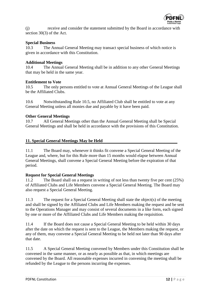

(j) receive and consider the statement submitted by the Board in accordance with section 30(3) of the Act.

#### **Special Business**

10.3 The Annual General Meeting may transact special business of which notice is given in accordance with this Constitution.

#### **Additional Meetings**

10.4 The Annual General Meeting shall be in addition to any other General Meetings that may be held in the same year.

#### **Entitlement to Vote**

10.5 The only persons entitled to vote at Annual General Meetings of the League shall be the Affiliated Clubs.

10.6 Notwithstanding Rule 10.5, no Affiliated Club shall be entitled to vote at any General Meeting unless all monies due and payable by it have been paid.

#### **Other General Meetings**

10.7 All General Meetings other than the Annual General Meeting shall be Special General Meetings and shall be held in accordance with the provisions of this Constitution.

#### **11. Special General Meetings May be Held**

11.1 The Board may, whenever it thinks fit convene a Special General Meeting of the League and, where, but for this Rule more than 15 months would elapse between Annual General Meetings, shall convene a Special General Meeting before the expiration of that period.

#### **Request for Special General Meetings**

11.2 The Board shall on a request in writing of not less than twenty five per cent (25%) of Affiliated Clubs and Life Members convene a Special General Meeting. The Board may also request a Special General Meeting.

11.3 The request for a Special General Meeting shall state the object(s) of the meeting and shall be signed by the Affiliated Clubs and Life Members making the request and be sent to the Operations Manager and may consist of several documents in a like form, each signed by one or more of the Affiliated Clubs and Life Members making the requisition.

11.4 If the Board does not cause a Special General Meeting to be held within 30 days after the date on which the request is sent to the League, the Members making the request, or any of them, may convene a Special General Meeting to be held not later than 90 days after that date.

11.5 A Special General Meeting convened by Members under this Constitution shall be convened in the same manner, or as nearly as possible as that, in which meetings are convened by the Board. All reasonable expenses incurred in convening the meeting shall be refunded by the League to the persons incurring the expenses.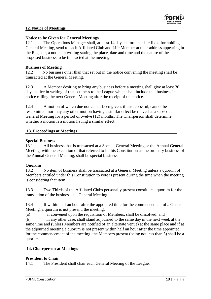

## **12. Notice of Meetings**

## **Notice to be Given for General Meetings**

12.1 The Operations Manager shall, at least 14 days before the date fixed for holding a General Meeting, send to each Affiliated Club and Life Member at their address appearing in the Register, a notice in writing stating the place, date and time and the nature of the proposed business to be transacted at the meeting.

# **Business of Meeting**

12.2 No business other than that set out in the notice convening the meeting shall be transacted at the General Meeting.

12.3 A Member desiring to bring any business before a meeting shall give at least 30 days notice in writing of that business to the League which shall include that business in a notice calling the next General Meeting after the receipt of the notice.

12.4 A motion of which due notice has been given, if unsuccessful, cannot be resubmitted, nor may any other motion having a similar effect be moved at a subsequent General Meeting for a period of twelve (12) months. The Chairperson shall determine whether a motion is a motion having a similar effect.

# **13. Proceedings at Meetings**

## **Special Business**

13.1 All business that is transacted at a Special General Meeting or the Annual General Meeting, with the exception of that referred to in this Constitution as the ordinary business of the Annual General Meeting, shall be special business.

# **Quorum**

13.2 No item of business shall be transacted at a General Meeting unless a quorum of Members entitled under this Constitution to vote is present during the time when the meeting is considering that item.

13.3 Two Thirds of the Affiliated Clubs personally present constitute a quorum for the transaction of the business at a General Meeting.

13.4 If within half an hour after the appointed time for the commencement of a General Meeting, a quorum is not present, the meeting:

(a) if convened upon the requisition of Members, shall be dissolved; and

(b) in any other case, shall stand adjourned to the same day in the next week at the same time and (unless Members are notified of an alternate venue) at the same place and if at the adjourned meeting a quorum is not present within half an hour after the time appointed for the commencement of the meeting, the Members present (being not less than 5) shall be a quorum.

## **14. Chairperson at Meetings**

## **President to Chair**

14.1 The President shall chair each General Meeting of the League.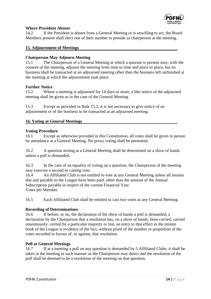

## **Where President Absent**

14.2 If the President is absent from a General Meeting or is unwilling to act, the Board Members present shall elect one of their number to preside as chairperson at the meeting.

## **15. Adjournment of Meetings**

## **Chairperson May Adjourn Meeting**

15.1 The Chairperson of a General Meeting at which a quorum is present may, with the consent of the meeting, adjourn the meeting from time to time and place to place, but no business shall be transacted at an adjourned meeting other then the business left unfinished at the meeting at which the adjournment took place.

#### **Further Notice**

15.2 Where a meeting is adjourned for 14 days or more, a like notice of the adjourned meeting shall be given as in the case of the General Meeting.

15.3 Except as provided in Rule 15.2, it is not necessary to give notice of an adjournment or of the business to be transacted at an adjourned meeting.

#### **16. Voting at General Meetings**

#### **Voting Procedure**

16.1 Except as otherwise provided in this Constitution, all votes shall be given in person by attendance at a General Meeting. No proxy voting shall be permitted.

16.2 A question arising at a General Meeting shall be determined on a show of hands unless a poll is demanded.

16.3 In the case of an equality of voting on a question, the Chairperson of the meeting may exercise a second or casting vote.

16.4 An Affiliated Club is not entitled to vote at any General Meeting unless all monies due and payable to the League have been paid, other than the amount of the Annual Subscription payable in respect of the current Financial Year. Votes per Member

16.5 Each Affiliated Club shall be entitled to cast two votes at any General Meeting.

## **Recording of Determinations**

16.6 If before, or on, the declaration of the show of hands a poll is demanded, a declaration by the Chairperson that a resolution has, on a show of hands, been carried, carried unanimously, carried by a particular majority or lost, an entry to that effect in the minute book of the League is evidence of the fact, without proof of the number or proportion of the votes recorded in favour of, or against, that resolution.

#### **Poll at General Meetings**

16.7 If at a meeting a poll on any question is demanded by 5 Affiliated Clubs, it shall be taken at the meeting in such manner as the Chairperson may direct and the resolution of the poll shall be deemed to be a resolution of the meeting on that question.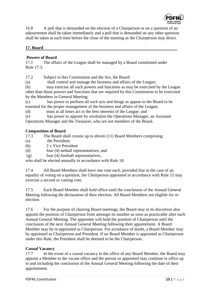

16.8 A poll that is demanded on the election of a Chairperson or on a question of an adjournment shall be taken immediately and a poll that is demanded on any other question shall be taken at such time before the close of the meeting as the Chairperson may direct.

# **17. Board**

## **Powers of Board**

17.1 The affairs of the League shall be managed by a Board constituted under Rule 17.3.

17.2 Subject to this Constitution and the Act, the Board:

(a) shall control and manage the business and affairs of the League;

(b) may exercise all such powers and functions as may be exercised by the League other than those powers and functions that are required by this Constitution to be exercised by the Members in General Meeting;

(c) has power to perform all such acts and things as appear to the Board to be essential for the proper management of the business and affairs of the League;

(d) must at all times act in the best interests of the League; and

(e) has power to appoint by resolution the Operations Manager, an Assistant Operations Manager and the Treasurer, who are not members of the Board.

## **Composition of Board**

17.3 The Board shall consist up to eleven (11) Board Members comprising:

- (a) the President;
- (b) 2 x Vice President
- (d) four (4) netball representatives, and

(g) four (4) football representatives,

who shall be elected annually in accordance with Rule 18.

17.4 All Board Members shall have one vote each, provided that in the case of an equality of voting on a question, the Chairperson appointed in accordance with Rule 15 may exercise a second or casting vote.

17.5 Each Board Member shall hold office until the conclusion of the Annual General Meeting following the declaration of their election. All Board Members are eligible for reelection.

17.6 For the purpose of chairing Board meetings, the Board may in its discretion also appoint the position of Chairperson from amongst its number as soon as practicable after each Annual General Meeting. The appointee will hold the position of Chairperson until the conclusion of the next Annual General Meeting following their appointment. A Board Member may be re-appointed as Chairperson. For avoidance of doubt, a Board Member may by appointed as Chairperson and President. If no Board Member is appointed as Chairperson under this Rule, the President shall be deemed to be the Chairperson.

## **Casual Vacancy**

17.7 In the event of a casual vacancy in the office of any Board Member, the Board may appoint a Member to the vacant office and the person so appointed may continue in office up to and including the conclusion of the Annual General Meeting following the date of their appointment.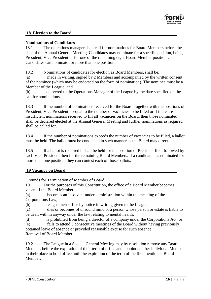

## **18. Election to the Board**

#### **Nominations of Candidates**

18.1 The operations manager shall call for nominations for Board Members before the date of the Annual General Meeting. Candidates may nominate for a specific position, being President, Vice President or for one of the remaining eight Board Member positions. Candidates can nominate for more than one position.

18.2 Nominations of candidates for election as Board Members, shall be:

(a) made in writing, signed by 2 Members and accompanied by the written consent of the nominee (which may be endorsed on the form of nomination). The nominee must be a Member of the League; and

(b) delivered to the Operations Manager of the League by the date specified on the call for nominations.

18.3 If the number of nominations received for the Board, together with the positions of President, Vice President is equal to the number of vacancies to be filled or if there are insufficient nominations received to fill all vacancies on the Board, then those nominated shall be declared elected at the Annual General Meeting and further nominations as required shall be called for.

18.4 If the number of nominations exceeds the number of vacancies to be filled, a ballot must be held. The ballot must be conducted in such manner as the Board may direct.

18.5 If a ballot is required it shall be held for the position of President first, followed by each Vice-President then for the remaining Board Members. If a candidate has nominated for more than one position, they can contest each of those ballots.

#### **19 Vacancy on Board**

Grounds for Termination of Member of Board

19.1 For the purposes of this Constitution, the office of a Board Member becomes vacant if the Board Member:

(a) becomes an insolvent under administration within the meaning of the Corporations Law;

(b) resigns their office by notice in writing given to the League;

(c) dies or becomes of unsound mind or a person whose person or estate is liable to be dealt with in anyway under the law relating to mental health;

(d) is prohibited from being a director of a company under the Corporations Act; or (e) fails to attend 3 consecutive meetings of the Board without having previously

obtained leave of absence or provided reasonable excuse for such absence. Removal of Board Member

19.2 The League in a Special General Meeting may by resolution remove any Board Member, before the expiration of their term of office and appoint another individual Member in their place to hold office until the expiration of the term of the first mentioned Board Member.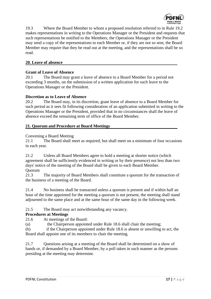

19.3 Where the Board Member to whom a proposed resolution referred to in Rule 19.2 makes representations in writing to the Operations Manager or the President and requests that such representations be notified to the Members, the Operations Manager or the President may send a copy of the representations to each Member or, if they are not so sent, the Board Member may require that they be read out at the meeting, and the representations shall be so read.

# **20. Leave of absence**

## **Grant of Leave of Absence**

20.1 The Board may grant a leave of absence to a Board Member for a period not exceeding 3 months, on the submission of a written application for such leave to the Operations Manager or the President.

#### **Discretion as to Leave of Absence**

20.2 The Board may, in its discretion, grant leave of absence to a Board Member for such period as it sees fit following consideration of an application submitted in writing to the Operations Manager or the President, provided that in no circumstances shall the leave of absence exceed the remaining term of office of the Board Member.

## **21. Quorum and Procedure at Board Meetings**

#### Convening a Board Meeting

21.1 The Board shall meet as required, but shall meet on a minimum of four occasions in each year.

21.2 Unless all Board Members agree to hold a meeting at shorter notice (which agreement shall be sufficiently evidenced in writing or by their presence) not less than two days' notice of the meeting of the Board shall be given to each Board Member. Quorum

21.3 The majority of Board Members shall constitute a quorum for the transaction of the business of a meeting of the Board.

21.4 No business shall be transacted unless a quorum is present and if within half an hour of the time appointed for the meeting a quorum is not present, the meeting shall stand adjourned to the same place and at the same hour of the same day in the following week.

## 21.5 The Board may act notwithstanding any vacancy.

#### **Procedures at Meetings**

21.6 At meetings of the Board:

(a) the Chairperson appointed under Rule 18.6 shall chair the meeting;

(b) if the Chairperson appointed under Rule 18.6 is absent or unwilling to act, the Board shall appoint one of its members to chair the meeting.

21.7 Questions arising at a meeting of the Board shall be determined on a show of hands or, if demanded by a Board Member, by a poll taken in such manner as the persons presiding at the meeting may determine.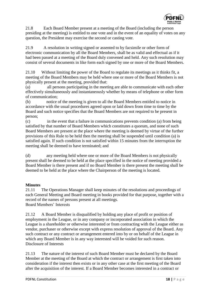

21.8 Each Board Member present at a meeting of the Board (including the person presiding at the meeting) is entitled to one vote and in the event of an equality of votes on any question, the President may exercise the second or casting vote.

21.9 A resolution in writing signed or assented to by facsimile or other form of electronic communication by all the Board Members, shall be as valid and effectual as if it had been passed at a meeting of the Board duly convened and held. Any such resolution may consist of several documents in like form each signed by one or more of the Board Members.

21.10 Without limiting the power of the Board to regulate its meetings as it thinks fit, a meeting of the Board Members may be held where one or more of the Board Members is not physically present at the meeting, provided that:

(a) all persons participating in the meeting are able to communicate with each other effectively simultaneously and instantaneously whether by means of telephone or other form of communication;

(b) notice of the meeting is given to all the Board Members entitled to notice in accordance with the usual procedures agreed upon or laid down from time to time by the Board and such notice specifies that the Board Members are not required to be present in person;

(c) in the event that a failure in communications prevents condition (a) from being satisfied by that number of Board Members which constitutes a quorum, and none of such Board Members are present at the place where the meeting is deemed by virtue of the further provisions of this Rule to be held then the meeting shall be suspended until condition (a) is satisfied again. If such condition is not satisfied within 15 minutes from the interruption the meeting shall be deemed to have terminated; and

(d) any meeting held where one or more of the Board Members is not physically present shall be deemed to be held at the place specified in the notice of meeting provided a Board Member is there present and if no Board Member is there present the meeting shall be deemed to be held at the place where the Chairperson of the meeting is located.

# **Minutes**

21.11 The Operations Manager shall keep minutes of the resolutions and proceedings of each General Meeting and Board meeting in books provided for that purpose, together with a record of the names of persons present at all meetings. Board Members' Interests

21.12 A Board Member is disqualified by holding any place of profit or position of employment in the League, or in any company or incorporated association in which the League is a shareholder or otherwise interested or from contracting with the League either as vendor, purchaser or otherwise except with express resolution of approval of the Board. Any such contract or any contract or arrangement entered into by or on behalf of the League in which any Board Member is in any way interested will be voided for such reason. Disclosure of Interests

21.13 The nature of the interest of such Board Member must be declared by the Board Member at the meeting of the Board at which the contract or arrangement is first taken into consideration if the interest then exists or in any other case at the first meeting of the Board after the acquisition of the interest. If a Board Member becomes interested in a contract or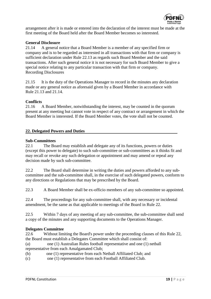

arrangement after it is made or entered into the declaration of the interest must be made at the first meeting of the Board held after the Board Member becomes so interested.

## **General Disclosure**

21.14 A general notice that a Board Member is a member of any specified firm or company and is to be regarded as interested in all transactions with that firm or company is sufficient declaration under Rule 22.13 as regards such Board Member and the said transactions. After such general notice it is not necessary for such Board Member to give a special notice relating to any particular transaction with that firm or company. Recording Disclosures

21.15 It is the duty of the Operations Manager to record in the minutes any declaration made or any general notice as aforesaid given by a Board Member in accordance with Rule 21.13 and 21.14.

#### **Conflicts**

21.16 A Board Member, notwithstanding the interest, may be counted in the quorum present at any meeting but cannot vote in respect of any contract or arrangement in which the Board Member is interested. If the Board Member votes, the vote shall not be counted.

#### **22. Delegated Powers and Duties**

#### **Sub-Committees**

22.1 The Board may establish and delegate any of its functions, powers or duties (except this power to delegate) to such sub-committee or sub-committees as it thinks fit and may recall or revoke any such delegation or appointment and may amend or repeal any decision made by such sub-committee.

22.2 The Board shall determine in writing the duties and powers afforded to any subcommittee and the sub-committee shall, in the exercise of such delegated powers, conform to any directions or Regulations that may be prescribed by the Board.

22.3 A Board Member shall be ex-officio members of any sub-committee so appointed.

22.4 The proceedings for any sub-committee shall, with any necessary or incidental amendment, be the same as that applicable to meetings of the Board in Rule 22.

22.5 Within 7 days of any meeting of any sub-committee, the sub-committee shall send a copy of the minutes and any supporting documents to the Operations Manager.

#### **Delegates Committee**

22.6 Without limiting the Board's power under the proceeding clauses of this Rule 22, the Board must establish a Delegates Committee which shall consist of:

- (a) one (1) Australian Rules football representative and one (1) netball representative from each Amalgamated Club;
- (b) one (1) representative from each Netball Affiliated Club; and
- (c) one (1) representative from each Football Affiliated Club.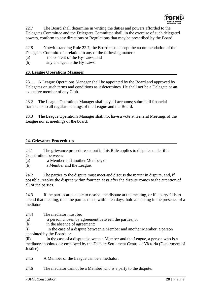

22.7 The Board shall determine in writing the duties and powers afforded to the Delegates Committee and the Delegates Committee shall, in the exercise of such delegated powers, conform to any directions or Regulations that may be prescribed by the Board.

22.8 Notwithstanding Rule 22.7, the Board must accept the recommendation of the Delegates Committee in relation to any of the following matters:

(a) the content of the By-Laws; and

(b) any changes to the By-Laws.

# **23. League Operations Manager**

23. 1. A League Operations Manager shall be appointed by the Board and approved by Delegates on such terms and conditions as it determines. He shall not be a Delegate or an executive member of any Club.

23.2 The League Operations Manager shall pay all accounts; submit all financial statements to all regular meetings of the League and the Board.

23.3 The League Operations Manager shall not have a vote at General Meetings of the League nor at meetings of the board.

## **24. Grievance Proceedures**

24.1 The grievance procedure set out in this Rule applies to disputes under this Constitution between:

(a) a Member and another Member; or

(b) a Member and the League.

24.2 The parties to the dispute must meet and discuss the matter in dispute, and, if possible, resolve the dispute within fourteen days after the dispute comes to the attention of all of the parties.

24.3 If the parties are unable to resolve the dispute at the meeting, or if a party fails to attend that meeting, then the parties must, within ten days, hold a meeting in the presence of a mediator.

24.4 The mediator must be:

- (a) a person chosen by agreement between the parties; or
- (b) in the absence of agreement:

(i) in the case of a dispute between a Member and another Member, a person appointed by the Board; or

(ii) in the case of a dispute between a Member and the League, a person who is a mediator appointed or employed by the Dispute Settlement Centre of Victoria (Department of Justice).

24.5 A Member of the League can be a mediator.

24.6 The mediator cannot be a Member who is a party to the dispute.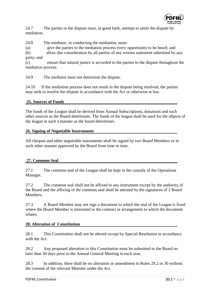

24.7 The parties to the dispute must, in good faith, attempt to settle the dispute by mediation.

24.8 The mediator, in conducting the mediation, must:

(a) give the parties to the mediation process every opportunity to be heard; and

(b) allow due consideration by all parties of any written statement submitted by any party; and

(c) ensure that natural justice is accorded to the parties to the dispute throughout the mediation process.

24.9 The mediator must not determine the dispute.

24.10 If the mediation process does not result in the dispute being resolved, the parties may seek to resolve the dispute in accordance with the Act or otherwise at law.

## **25. Sources of Funds**

The funds of the League shall be derived from Annual Subscriptions, donations and such other sources as the Board determines. The funds of the league shall be used for the objects of the league in such a manner as the board determines.

## **26. Signing of Negotiable Instruments**

All cheques and other negotiable instruments shall be signed by two Board Members or in such other manner approved by the Board from time to time.

# **27. Common Seal**

27.1 The common seal of the League shall be kept in the custody of the Operations Manager.

27.2 The common seal shall not be affixed to any instrument except by the authority of the Board and the affixing of the common seal shall be attested by the signatures of 2 Board Members.

27.3 A Board Member may not sign a document to which the seal of the League is fixed where the Board Member is interested in the contract or arrangement to which the document relates.

## **28. Alteration of Constitution**

28.1 This Constitution shall not be altered except by Special Resolution in accordance with the Act.

28.2 Any proposed alteration to this Constitution must be submitted to the Board no later than 30 days prior to the Annual General Meeting in each year.

28.3 In addition, there shall be no alteration or amendment to Rules 29.2 or 30 without the consent of the relevant Minister under the Act.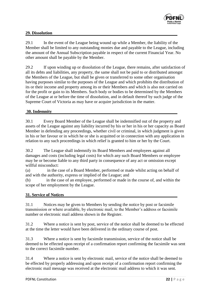

## **29. Dissolution**

29.1 In the event of the League being wound up while a Member, the liability of the Member shall be limited to any outstanding monies due and payable to the League, including the amount of the Annual Subscription payable in respect of the current Financial Year. No other amount shall be payable by the Member.

29.2 If upon winding up or dissolution of the League, there remains, after satisfaction of all its debts and liabilities, any property, the same shall not be paid to or distributed amongst the Members of the League, but shall be given or transferred to some other organisation having purposes similar to the purposes of the League and which prohibits the distribution of its or their income and property among its or their Members and which is also not carried on for the profit or gain to its Members. Such body or bodies to be determined by the Members of the League at or before the time of dissolution, and in default thereof by such judge of the Supreme Court of Victoria as may have or acquire jurisdiction in the matter.

## **30. Indemnity**

30.1 Every Board Member of the League shall be indemnified out of the property and assets of the League against any liability incurred by his or her in his or her capacity as Board Member in defending any proceedings, whether civil or criminal, in which judgment is given in his or her favour or in which he or she is acquitted or in connection with any application in relation to any such proceedings in which relief is granted to him or her by the Court.

30.2 The League shall indemnify its Board Members and employees against all damages and costs (including legal costs) for which any such Board Members or employee may be or become liable to any third party in consequence of any act or omission except willful misconduct:

(a) in the case of a Board Member, performed or made whilst acting on behalf of and with the authority, express or implied of the League; and

(b) in the case of an employee, performed or made in the course of, and within the scope of her employment by the League.

#### **31. Service of Notices**

31.1 Notices may be given to Members by sending the notice by post or facsimile transmission or where available, by electronic mail, to the Member's address or facsimile number or electronic mail address shown in the Register.

31.2 Where a notice is sent by post, service of the notice shall be deemed to be effected at the time the letter would have been delivered in the ordinary course of post.

31.3 Where a notice is sent by facsimile transmission, service of the notice shall be deemed to be effected upon receipt of a confirmation report confirming the facsimile was sent to the correct facsimile number.

31.4 Where a notice is sent by electronic mail, service of the notice shall be deemed to be effected by properly addressing and upon receipt of a confirmation report confirming the electronic mail message was received at the electronic mail address to which it was sent.